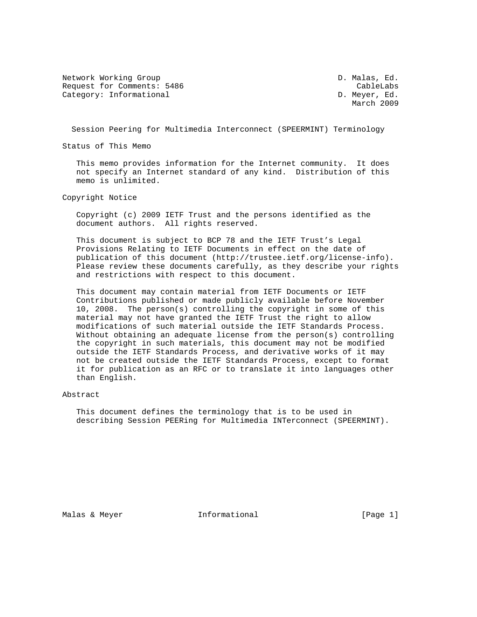Network Working Group and the control of the D. Malas, Ed. Request for Comments: 5486 CableLabs Category: Informational D. Meyer, Ed.

March 2009

Session Peering for Multimedia Interconnect (SPEERMINT) Terminology

Status of This Memo

 This memo provides information for the Internet community. It does not specify an Internet standard of any kind. Distribution of this memo is unlimited.

Copyright Notice

 Copyright (c) 2009 IETF Trust and the persons identified as the document authors. All rights reserved.

 This document is subject to BCP 78 and the IETF Trust's Legal Provisions Relating to IETF Documents in effect on the date of publication of this document (http://trustee.ietf.org/license-info). Please review these documents carefully, as they describe your rights and restrictions with respect to this document.

 This document may contain material from IETF Documents or IETF Contributions published or made publicly available before November 10, 2008. The person(s) controlling the copyright in some of this material may not have granted the IETF Trust the right to allow modifications of such material outside the IETF Standards Process. Without obtaining an adequate license from the person(s) controlling the copyright in such materials, this document may not be modified outside the IETF Standards Process, and derivative works of it may not be created outside the IETF Standards Process, except to format it for publication as an RFC or to translate it into languages other than English.

### Abstract

 This document defines the terminology that is to be used in describing Session PEERing for Multimedia INTerconnect (SPEERMINT).

Malas & Meyer **Informational Informational** [Page 1]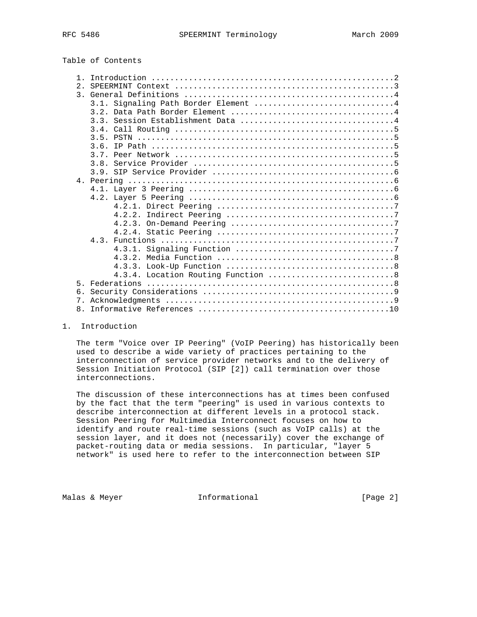# Table of Contents

| 2.    | SPEERMINT Context $\dots\dots\dots\dots\dots\dots\dots\dots\dots\dots\dots\dots\dots\dots\dots$          |
|-------|----------------------------------------------------------------------------------------------------------|
|       |                                                                                                          |
|       | 3.1. Signaling Path Border Element 4                                                                     |
|       |                                                                                                          |
|       |                                                                                                          |
|       |                                                                                                          |
|       |                                                                                                          |
|       |                                                                                                          |
|       |                                                                                                          |
|       |                                                                                                          |
|       |                                                                                                          |
|       |                                                                                                          |
|       |                                                                                                          |
|       |                                                                                                          |
|       |                                                                                                          |
|       |                                                                                                          |
|       |                                                                                                          |
|       |                                                                                                          |
|       |                                                                                                          |
|       |                                                                                                          |
|       |                                                                                                          |
|       |                                                                                                          |
|       |                                                                                                          |
|       |                                                                                                          |
| $5 -$ | Federations $\ldots \ldots \ldots \ldots \ldots \ldots \ldots \ldots \ldots \ldots \ldots \ldots \ldots$ |
| б.    |                                                                                                          |
| 7.    |                                                                                                          |
| 8.    |                                                                                                          |
|       |                                                                                                          |

1. Introduction

 The term "Voice over IP Peering" (VoIP Peering) has historically been used to describe a wide variety of practices pertaining to the interconnection of service provider networks and to the delivery of Session Initiation Protocol (SIP [2]) call termination over those interconnections.

 The discussion of these interconnections has at times been confused by the fact that the term "peering" is used in various contexts to describe interconnection at different levels in a protocol stack. Session Peering for Multimedia Interconnect focuses on how to identify and route real-time sessions (such as VoIP calls) at the session layer, and it does not (necessarily) cover the exchange of packet-routing data or media sessions. In particular, "layer 5 network" is used here to refer to the interconnection between SIP

Malas & Meyer **Informational Informational** [Page 2]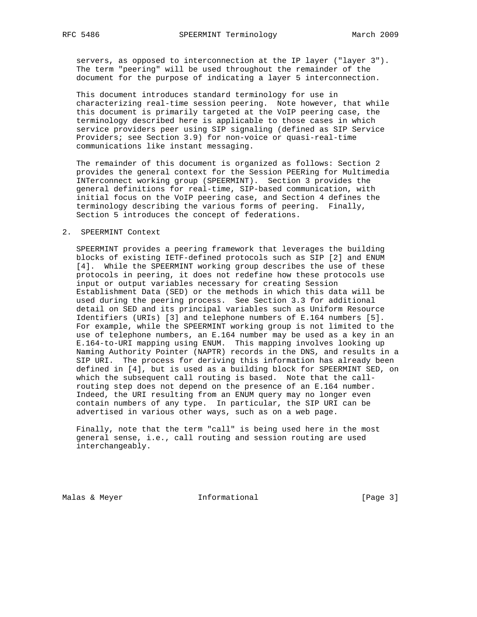servers, as opposed to interconnection at the IP layer ("layer 3"). The term "peering" will be used throughout the remainder of the document for the purpose of indicating a layer 5 interconnection.

 This document introduces standard terminology for use in characterizing real-time session peering. Note however, that while this document is primarily targeted at the VoIP peering case, the terminology described here is applicable to those cases in which service providers peer using SIP signaling (defined as SIP Service Providers; see Section 3.9) for non-voice or quasi-real-time communications like instant messaging.

 The remainder of this document is organized as follows: Section 2 provides the general context for the Session PEERing for Multimedia INTerconnect working group (SPEERMINT). Section 3 provides the general definitions for real-time, SIP-based communication, with initial focus on the VoIP peering case, and Section 4 defines the terminology describing the various forms of peering. Finally, Section 5 introduces the concept of federations.

### 2. SPEERMINT Context

 SPEERMINT provides a peering framework that leverages the building blocks of existing IETF-defined protocols such as SIP [2] and ENUM [4]. While the SPEERMINT working group describes the use of these protocols in peering, it does not redefine how these protocols use input or output variables necessary for creating Session Establishment Data (SED) or the methods in which this data will be used during the peering process. See Section 3.3 for additional detail on SED and its principal variables such as Uniform Resource Identifiers (URIs) [3] and telephone numbers of E.164 numbers [5]. For example, while the SPEERMINT working group is not limited to the use of telephone numbers, an E.164 number may be used as a key in an E.164-to-URI mapping using ENUM. This mapping involves looking up Naming Authority Pointer (NAPTR) records in the DNS, and results in a SIP URI. The process for deriving this information has already been defined in [4], but is used as a building block for SPEERMINT SED, on which the subsequent call routing is based. Note that the call routing step does not depend on the presence of an E.164 number. Indeed, the URI resulting from an ENUM query may no longer even contain numbers of any type. In particular, the SIP URI can be advertised in various other ways, such as on a web page.

 Finally, note that the term "call" is being used here in the most general sense, i.e., call routing and session routing are used interchangeably.

Malas & Meyer **Informational Malas & Meyer Informational Example 1** [Page 3]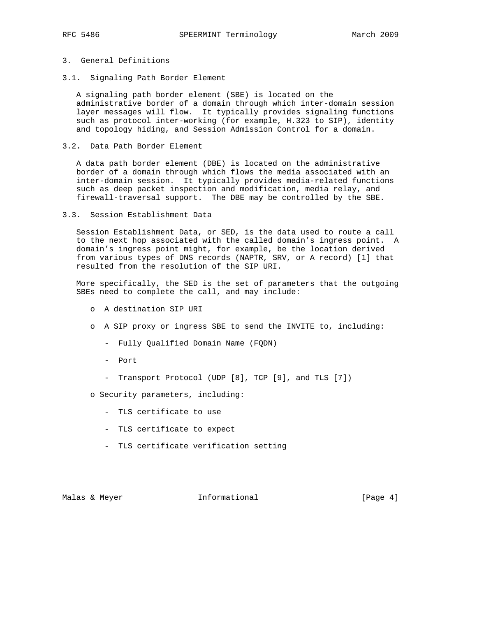# 3. General Definitions

3.1. Signaling Path Border Element

 A signaling path border element (SBE) is located on the administrative border of a domain through which inter-domain session layer messages will flow. It typically provides signaling functions such as protocol inter-working (for example, H.323 to SIP), identity and topology hiding, and Session Admission Control for a domain.

3.2. Data Path Border Element

 A data path border element (DBE) is located on the administrative border of a domain through which flows the media associated with an inter-domain session. It typically provides media-related functions such as deep packet inspection and modification, media relay, and firewall-traversal support. The DBE may be controlled by the SBE.

### 3.3. Session Establishment Data

 Session Establishment Data, or SED, is the data used to route a call to the next hop associated with the called domain's ingress point. A domain's ingress point might, for example, be the location derived from various types of DNS records (NAPTR, SRV, or A record) [1] that resulted from the resolution of the SIP URI.

 More specifically, the SED is the set of parameters that the outgoing SBEs need to complete the call, and may include:

- o A destination SIP URI
- o A SIP proxy or ingress SBE to send the INVITE to, including:
	- Fully Qualified Domain Name (FQDN)
	- Port
	- Transport Protocol (UDP [8], TCP [9], and TLS [7])
- o Security parameters, including:
	- TLS certificate to use
	- TLS certificate to expect
	- TLS certificate verification setting

Malas & Meyer **Informational Malas & Meyer Informational Example 1** [Page 4]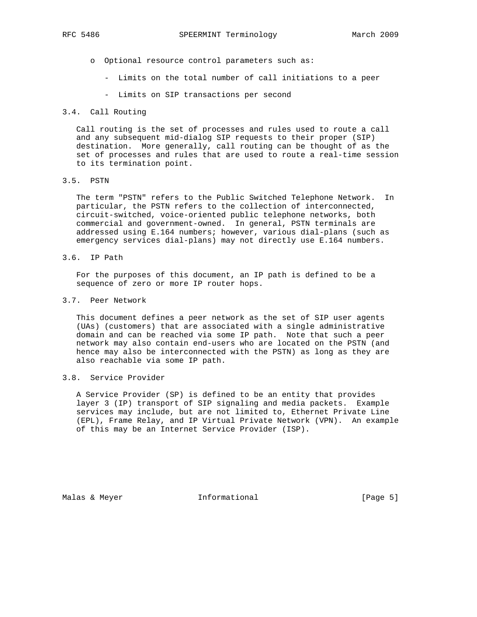- o Optional resource control parameters such as:
	- Limits on the total number of call initiations to a peer
	- Limits on SIP transactions per second

## 3.4. Call Routing

 Call routing is the set of processes and rules used to route a call and any subsequent mid-dialog SIP requests to their proper (SIP) destination. More generally, call routing can be thought of as the set of processes and rules that are used to route a real-time session to its termination point.

### 3.5. PSTN

 The term "PSTN" refers to the Public Switched Telephone Network. In particular, the PSTN refers to the collection of interconnected, circuit-switched, voice-oriented public telephone networks, both commercial and government-owned. In general, PSTN terminals are addressed using E.164 numbers; however, various dial-plans (such as emergency services dial-plans) may not directly use E.164 numbers.

3.6. IP Path

 For the purposes of this document, an IP path is defined to be a sequence of zero or more IP router hops.

## 3.7. Peer Network

 This document defines a peer network as the set of SIP user agents (UAs) (customers) that are associated with a single administrative domain and can be reached via some IP path. Note that such a peer network may also contain end-users who are located on the PSTN (and hence may also be interconnected with the PSTN) as long as they are also reachable via some IP path.

# 3.8. Service Provider

 A Service Provider (SP) is defined to be an entity that provides layer 3 (IP) transport of SIP signaling and media packets. Example services may include, but are not limited to, Ethernet Private Line (EPL), Frame Relay, and IP Virtual Private Network (VPN). An example of this may be an Internet Service Provider (ISP).

Malas & Meyer **Informational Malas & Meyer Informational Example 1** [Page 5]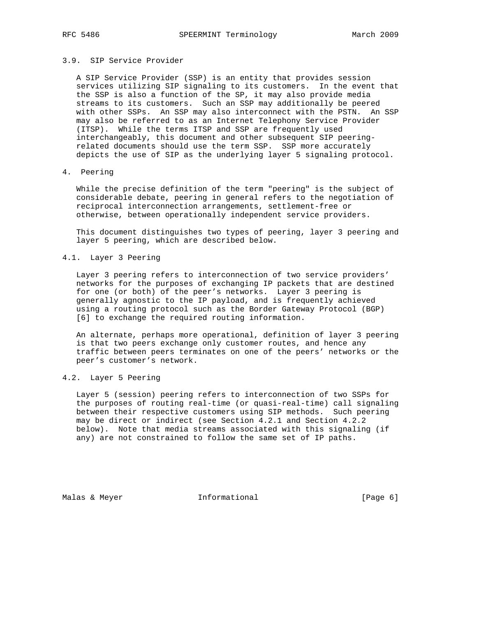### 3.9. SIP Service Provider

 A SIP Service Provider (SSP) is an entity that provides session services utilizing SIP signaling to its customers. In the event that the SSP is also a function of the SP, it may also provide media streams to its customers. Such an SSP may additionally be peered with other SSPs. An SSP may also interconnect with the PSTN. An SSP may also be referred to as an Internet Telephony Service Provider (ITSP). While the terms ITSP and SSP are frequently used interchangeably, this document and other subsequent SIP peering related documents should use the term SSP. SSP more accurately depicts the use of SIP as the underlying layer 5 signaling protocol.

# 4. Peering

 While the precise definition of the term "peering" is the subject of considerable debate, peering in general refers to the negotiation of reciprocal interconnection arrangements, settlement-free or otherwise, between operationally independent service providers.

 This document distinguishes two types of peering, layer 3 peering and layer 5 peering, which are described below.

### 4.1. Layer 3 Peering

 Layer 3 peering refers to interconnection of two service providers' networks for the purposes of exchanging IP packets that are destined for one (or both) of the peer's networks. Layer 3 peering is generally agnostic to the IP payload, and is frequently achieved using a routing protocol such as the Border Gateway Protocol (BGP) [6] to exchange the required routing information.

 An alternate, perhaps more operational, definition of layer 3 peering is that two peers exchange only customer routes, and hence any traffic between peers terminates on one of the peers' networks or the peer's customer's network.

## 4.2. Layer 5 Peering

 Layer 5 (session) peering refers to interconnection of two SSPs for the purposes of routing real-time (or quasi-real-time) call signaling between their respective customers using SIP methods. Such peering may be direct or indirect (see Section 4.2.1 and Section 4.2.2 below). Note that media streams associated with this signaling (if any) are not constrained to follow the same set of IP paths.

Malas & Meyer **Informational Malas & Meyer Informational Example 1** [Page 6]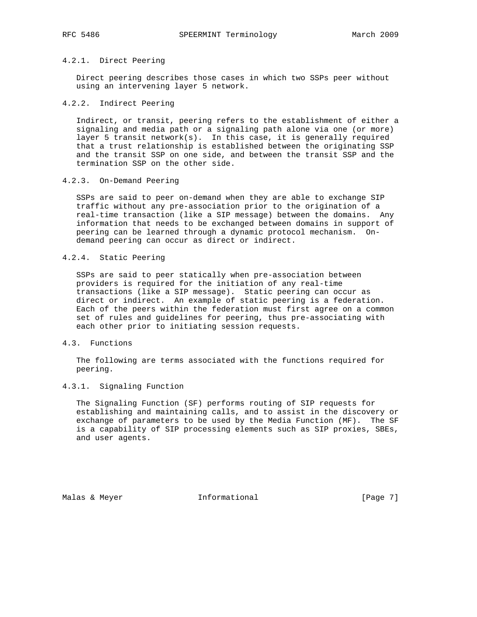# 4.2.1. Direct Peering

 Direct peering describes those cases in which two SSPs peer without using an intervening layer 5 network.

### 4.2.2. Indirect Peering

 Indirect, or transit, peering refers to the establishment of either a signaling and media path or a signaling path alone via one (or more) layer 5 transit network(s). In this case, it is generally required that a trust relationship is established between the originating SSP and the transit SSP on one side, and between the transit SSP and the termination SSP on the other side.

### 4.2.3. On-Demand Peering

 SSPs are said to peer on-demand when they are able to exchange SIP traffic without any pre-association prior to the origination of a real-time transaction (like a SIP message) between the domains. Any information that needs to be exchanged between domains in support of peering can be learned through a dynamic protocol mechanism. On demand peering can occur as direct or indirect.

## 4.2.4. Static Peering

 SSPs are said to peer statically when pre-association between providers is required for the initiation of any real-time transactions (like a SIP message). Static peering can occur as direct or indirect. An example of static peering is a federation. Each of the peers within the federation must first agree on a common set of rules and guidelines for peering, thus pre-associating with each other prior to initiating session requests.

### 4.3. Functions

 The following are terms associated with the functions required for peering.

### 4.3.1. Signaling Function

 The Signaling Function (SF) performs routing of SIP requests for establishing and maintaining calls, and to assist in the discovery or exchange of parameters to be used by the Media Function (MF). The SF is a capability of SIP processing elements such as SIP proxies, SBEs, and user agents.

Malas & Meyer **Informational Malas & Meyer** 1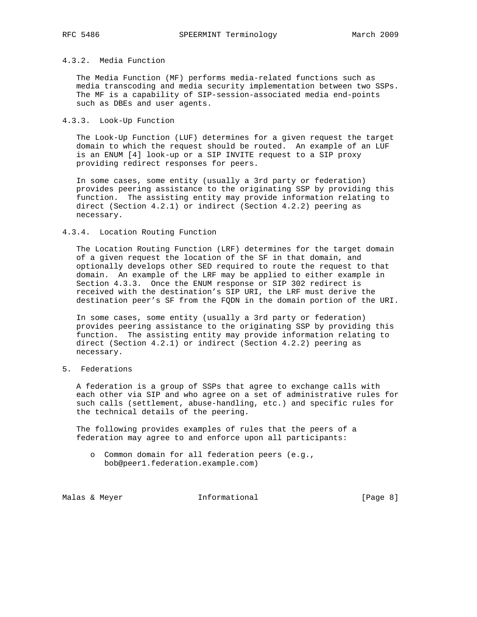### 4.3.2. Media Function

 The Media Function (MF) performs media-related functions such as media transcoding and media security implementation between two SSPs. The MF is a capability of SIP-session-associated media end-points such as DBEs and user agents.

### 4.3.3. Look-Up Function

 The Look-Up Function (LUF) determines for a given request the target domain to which the request should be routed. An example of an LUF is an ENUM [4] look-up or a SIP INVITE request to a SIP proxy providing redirect responses for peers.

 In some cases, some entity (usually a 3rd party or federation) provides peering assistance to the originating SSP by providing this function. The assisting entity may provide information relating to direct (Section 4.2.1) or indirect (Section 4.2.2) peering as necessary.

### 4.3.4. Location Routing Function

 The Location Routing Function (LRF) determines for the target domain of a given request the location of the SF in that domain, and optionally develops other SED required to route the request to that domain. An example of the LRF may be applied to either example in Section 4.3.3. Once the ENUM response or SIP 302 redirect is received with the destination's SIP URI, the LRF must derive the destination peer's SF from the FQDN in the domain portion of the URI.

 In some cases, some entity (usually a 3rd party or federation) provides peering assistance to the originating SSP by providing this function. The assisting entity may provide information relating to direct (Section 4.2.1) or indirect (Section 4.2.2) peering as necessary.

# 5. Federations

 A federation is a group of SSPs that agree to exchange calls with each other via SIP and who agree on a set of administrative rules for such calls (settlement, abuse-handling, etc.) and specific rules for the technical details of the peering.

 The following provides examples of rules that the peers of a federation may agree to and enforce upon all participants:

 o Common domain for all federation peers (e.g., bob@peer1.federation.example.com)

Malas & Meyer **Informational Informational** [Page 8]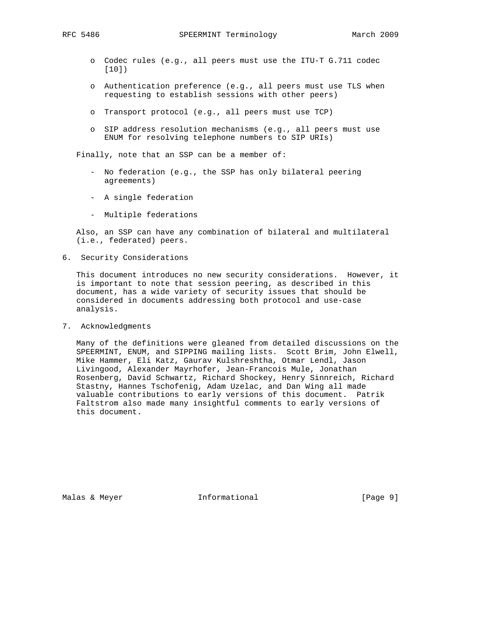- o Codec rules (e.g., all peers must use the ITU-T G.711 codec [10])
- o Authentication preference (e.g., all peers must use TLS when requesting to establish sessions with other peers)
- o Transport protocol (e.g., all peers must use TCP)
- o SIP address resolution mechanisms (e.g., all peers must use ENUM for resolving telephone numbers to SIP URIs)

Finally, note that an SSP can be a member of:

- No federation (e.g., the SSP has only bilateral peering agreements)
- A single federation
- Multiple federations

 Also, an SSP can have any combination of bilateral and multilateral (i.e., federated) peers.

6. Security Considerations

 This document introduces no new security considerations. However, it is important to note that session peering, as described in this document, has a wide variety of security issues that should be considered in documents addressing both protocol and use-case analysis.

7. Acknowledgments

 Many of the definitions were gleaned from detailed discussions on the SPEERMINT, ENUM, and SIPPING mailing lists. Scott Brim, John Elwell, Mike Hammer, Eli Katz, Gaurav Kulshreshtha, Otmar Lendl, Jason Livingood, Alexander Mayrhofer, Jean-Francois Mule, Jonathan Rosenberg, David Schwartz, Richard Shockey, Henry Sinnreich, Richard Stastny, Hannes Tschofenig, Adam Uzelac, and Dan Wing all made valuable contributions to early versions of this document. Patrik Faltstrom also made many insightful comments to early versions of this document.

Malas & Meyer **Informational Informational** [Page 9]